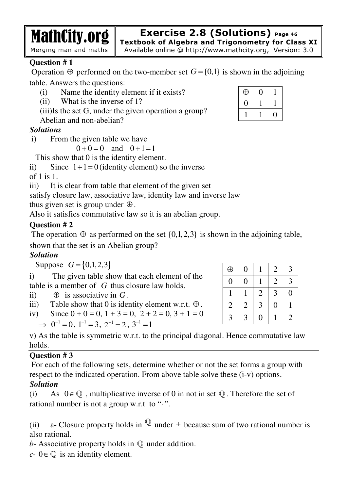**Exercise 2.8 (Solutions) Page 46**

**Textbook of Algebra and Trigonometry for Class XI** Available online @ http://www.mathcity.org, Version: 3.0

# **Question # 1**

Operation  $\oplus$  performed on the two-member set  $G = \{0,1\}$  is shown in the adjoining table. Answers the questions:

- (i) Name the identity element if it exists?
- (ii) What is the inverse of 1?
- (iii)Is the set G, under the given operation a group?
- Abelian and non-abelian?

MathCity.org

Merging man and maths

# *Solutions*

i) From the given table we have

 $0 + 0 = 0$  and  $0 + 1 = 1$ 

This show that 0 is the identity element.

ii) Since  $1+1=0$  (identity element) so the inverse

of 1 is  $1$ .

iii) It is clear from table that element of the given set

satisfy closure law, associative law, identity law and inverse law

thus given set is group under  $\oplus$ .

Also it satisfies commutative law so it is an abelian group.

# **Question # 2**

The operation  $\oplus$  as performed on the set  $\{0,1,2,3\}$  is shown in the adjoining table,

shown that the set is an Abelian group?

# *Solution*

Suppose  $G = \{0, 1, 2, 3\}$ 

i) The given table show that each element of the table is a member of *G* thus closure law holds.

ii)  $\oplus$  is associative in  $G$ .

- iii) Table show that 0 is identity element w.r.t.  $\oplus$ .
- iv) Since  $0 + 0 = 0$ ,  $1 + 3 = 0$ ,  $2 + 2 = 0$ ,  $3 + 1 = 0$

$$
\Rightarrow 0^{-1} = 0, 1^{-1} = 3, 2^{-1} = 2, 3^{-1} = 1
$$

v) As the table is symmetric w.r.t. to the principal diagonal. Hence commutative law holds.

### **Question # 3**

 For each of the following sets, determine whether or not the set forms a group with respect to the indicated operation. From above table solve these (i-v) options. *Solution* 

(i) As  $0 \in \mathbb{Q}$ , multiplicative inverse of 0 in not in set  $\mathbb{Q}$ . Therefore the set of rational number is not a group w.r.t to "⋅".

(ii) a- Closure property holds in  $\mathbb Q$  under + because sum of two rational number is also rational.

*b*- Associative property holds in  $\mathbb Q$  under addition.

 $c$ -  $0 \in \mathbb{Q}$  is an identity element.

| $_{\oplus}$ |  |
|-------------|--|
|             |  |
|             |  |

| $\oplus$       | $\overline{0}$ |                | $\overline{2}$   | 3              |
|----------------|----------------|----------------|------------------|----------------|
| $\overline{0}$ | $\overline{0}$ |                | $\mathbf{2}$     | 3              |
|                |                | $\mathfrak{2}$ | 3                | $\rm 0$        |
| $\overline{2}$ | $\overline{2}$ | 3              | $\boldsymbol{0}$ |                |
| 3              | 3              | $\overline{0}$ |                  | $\overline{2}$ |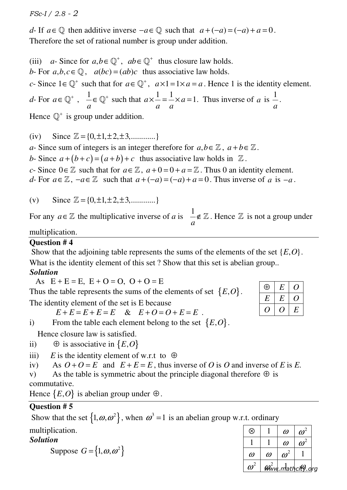*FSc-I / 2.8 - 2*

*d*- If  $a \in \mathbb{Q}$  then additive inverse  $-a \in \mathbb{Q}$  such that  $a + (-a) = (-a) + a = 0$ . Therefore the set of rational number is group under addition.

(iii) *a*- Since for  $a, b \in \mathbb{Q}^+$ ,  $ab \in \mathbb{Q}^+$  thus closure law holds. *b*- For  $a, b, c \in \mathbb{Q}$ ,  $a(bc) = (ab)c$  thus associative law holds. *c*- Since  $1 \in \mathbb{Q}^+$  such that for  $a \in \mathbb{Q}^+$ ,  $a \times 1 = 1 \times a = a$ . Hence 1 is the identity element. *d*- For  $a \in \mathbb{Q}^+$ ,  $\frac{1}{a}$ *a*  $\in \mathbb{Q}^+$  such that  $a \times \frac{1}{a} = \frac{1}{a} \times a = 1$ *a a*  $x = \frac{1}{2} \times a = 1$ . Thus inverse of *a* is  $\frac{1}{2}$ *a* . Hence  $\mathbb{Q}^+$  is group under addition.

(iv) Since  $\mathbb{Z} = \{0, \pm 1, \pm 2, \pm 3, \dots \dots \}$ 

*a*- Since sum of integers is an integer therefore for  $a, b \in \mathbb{Z}$ ,  $a + b \in \mathbb{Z}$ .

*b*- Since  $a + (b + c) = (a + b) + c$  thus associative law holds in  $\mathbb{Z}$ .

*c*- Since  $0 \in \mathbb{Z}$  such that for  $a \in \mathbb{Z}$ ,  $a+0=0+a=\mathbb{Z}$ . Thus 0 an identity element.

*d*- For  $a \in \mathbb{Z}$ ,  $-a \in \mathbb{Z}$  such that  $a + (-a) = (-a) + a = 0$ . Thus inverse of *a* is  $-a$ .

(v) Since  $\mathbb{Z} = \{0, \pm 1, \pm 2, \pm 3, \dots \}$ 

For any  $a \in \mathbb{Z}$  the multiplicative inverse of a is  $\frac{1}{a}$ *a*  $\notin \mathbb{Z}$ . Hence  $\mathbb Z$  is not a group under

multiplication.

### **Question # 4**

Show that the adjoining table represents the sums of the elements of the set  $\{E, O\}$ . What is the identity element of this set? Show that this set is abelian group.. *Solution* 

As  $E + E = E$ ,  $E + O = O$ ,  $O + O = E$ 

Thus the table represents the sums of the elements of set  ${E, O}$ .

The identity element of the set is E because

 $E + E = E + E = E \& E + O = O + E = E$ .

i) From the table each element belong to the set  ${E, O}$ .

Hence closure law is satisfied.

ii)  $\oplus$  is associative in  $\{E, O\}$ 

iii) *E* is the identity element of w.r.t to  $\oplus$ 

iv) As  $O + O = E$  and  $E + E = E$ , thus inverse of *O* is *O* and inverse of *E* is *E*.

v) As the table is symmetric about the principle diagonal therefore  $\oplus$  is commutative.

Hence  $\{E, O\}$  is abelian group under  $\oplus$ .

# **Question # 5**

Show that the set  $\{1, \omega, \omega^2\}$ , when  $\omega^3 = 1$  is an abelian group w.r.t. ordinary multiplication.

# *Solution*

Suppose  $G = \{1, \omega, \omega^2\}$ 

| ordinary |          |                         |  |
|----------|----------|-------------------------|--|
|          | $\omega$ | $\boldsymbol{\omega}^2$ |  |
|          |          |                         |  |

| ⊕  | Н. |    |
|----|----|----|
| F. | F. |    |
|    |    | Ч. |

| ⊗                  |          | $\omega$                      | $\boldsymbol{\omega}^2$ |  |
|--------------------|----------|-------------------------------|-------------------------|--|
|                    |          | $\omega$                      | $\boldsymbol{\omega}^2$ |  |
| $\omega$           | $\omega$ | $\omega^2$                    |                         |  |
| $\boldsymbol{a}^2$ |          | $\mathcal{W}$ ww.mathcity.org |                         |  |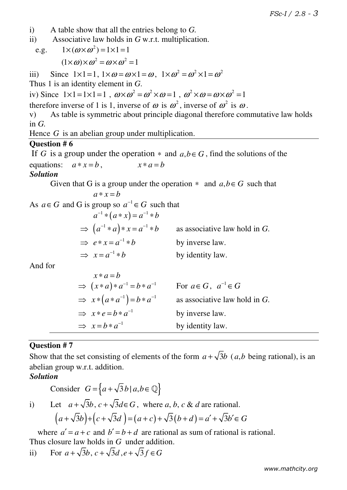- i) A table show that all the entries belong to *G.*
- ii) Associative law holds in *G* w.r.t. multiplication.
- e.g.  $1 \times (\omega \times \omega^2) = 1 \times 1 = 1$  $(1 \times \omega) \times \omega^2 = \omega \times \omega^2 = 1$

iii) Since  $1 \times 1 = 1$ ,  $1 \times \omega = \omega \times 1 = \omega$ ,  $1 \times \omega^2 = \omega^2 \times 1 = \omega^2$ 

Thus 1 is an identity element in *G*.

iv) Since  $1 \times 1 = 1 \times 1 = 1$ ,  $\omega \times \omega^2 = \omega^2 \times \omega = 1$ ,  $\omega^2 \times \omega = \omega \times \omega^2 = 1$ 

therefore inverse of 1 is 1, inverse of  $\omega$  is  $\omega^2$ , inverse of  $\omega^2$  is  $\omega$ .

v) As table is symmetric about principle diagonal therefore commutative law holds in *G.* 

Hence *G* is an abelian group under multiplication.

#### **Question # 6**

If *G* is a group under the operation  $*$  and  $a, b \in G$ , find the solutions of the equations:  $a * x = b$ ,  $x * a = b$ 

#### *Solution*

Given that G is a group under the operation  $*$  and  $a, b \in G$  such that

$$
a * x = b
$$

As  $a \in G$  and G is group so  $a^{-1} \in G$  such that

 $a^{-1} * (a * x) = a^{-1} * b$  $\Rightarrow$   $(a^{-1} * a) * x = a^{-1} * b$  as associative law hold in *G*.  $\Rightarrow e * x = a^{-1} * b$ by inverse law.  $\Rightarrow$   $x = a^{-1} * b$ by identity law.

And for

| $x*a=b$                                       |                                  |
|-----------------------------------------------|----------------------------------|
| $\Rightarrow (x*a)*a^{-1} = b*a^{-1}$         | For $a \in G$ , $a^{-1} \in G$   |
| $\Rightarrow$ $x * (a * a^{-1}) = b * a^{-1}$ | as associative law hold in $G$ . |
| $\Rightarrow x*e=b*a^{-1}$                    | by inverse law.                  |
| $\Rightarrow x=b*a^{-1}$                      | by identity law.                 |

### **Question # 7**

Show that the set consisting of elements of the form  $a + \sqrt{3}b$  (*a,b* being rational), is an abelian group w.r.t. addition.

### *Solution*

Consider 
$$
G = \{a + \sqrt{3}b \mid a, b \in \mathbb{Q}\}
$$
  
\ni) Let  $a + \sqrt{3}b, c + \sqrt{3}d \in G$ , where  $a, b, c \& d$  are rational.  
\n $(a + \sqrt{3}b) + (c + \sqrt{3}d) = (a + c) + \sqrt{3}(b + d) = a' + \sqrt{3}b' \in G$ 

where  $a' = a + c$  and  $b' = b + d$  are rational as sum of rational is rational. Thus closure law holds in *G* under addition.

ii) For 
$$
a + \sqrt{3}b
$$
,  $c + \sqrt{3}d$ ,  $e + \sqrt{3}f \in G$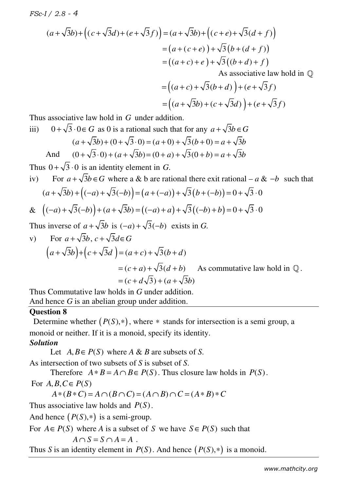*FSc-I / 2.8 - 4*

$$
(a + \sqrt{3}b) + ((c + \sqrt{3}d) + (e + \sqrt{3}f)) = (a + \sqrt{3}b) + ((c + e) + \sqrt{3}(d + f))
$$
  
=  $(a + (c + e)) + \sqrt{3}(b + (d + f))$   
=  $((a + c) + e) + \sqrt{3}((b + d) + f)$   
As associative law hold in Q

$$
= ((a + c) + \sqrt{3}(b + d)) + (e + \sqrt{3}f)
$$
  
= ((a + \sqrt{3}b) + (c + \sqrt{3}d)) + (e + \sqrt{3}f)

Thus associative law hold in *G* under addition.

iii) 
$$
0 + \sqrt{3} \cdot 0 \in G
$$
 as 0 is a rational such that for any  $a + \sqrt{3}b \in G$   
\n $(a + \sqrt{3}b) + (0 + \sqrt{3} \cdot 0) = (a + 0) + \sqrt{3}(b + 0) = a + \sqrt{3}b$   
\nAnd  $(0 + \sqrt{3} \cdot 0) + (a + \sqrt{3}b) = (0 + a) + \sqrt{3}(0 + b) = a + \sqrt{3}b$ 

Thus  $0 + \sqrt{3} \cdot 0$  is an identity element in *G*.

iv) For  $a + \sqrt{3}b \in G$  where a & b are rational there exit rational –  $a$  & −*b* such that  $(a+\sqrt{3}b)+((-a)+\sqrt{3}(-b))=(a+(-a))+\sqrt{3}(b+(-b))=0+\sqrt{3}\cdot 0$ &  $((-a) + \sqrt{3}(-b)) + (a + \sqrt{3}b) = ((-a) + a) + \sqrt{3}((-b) + b) = 0 + \sqrt{3} \cdot 0$ 

Thus inverse of  $a + \sqrt{3}b$  is  $(-a) + \sqrt{3}(-b)$  exists in G.

v) For 
$$
a + \sqrt{3}b
$$
,  $c + \sqrt{3}d \in G$   
\n
$$
(a + \sqrt{3}b) + (c + \sqrt{3}d) = (a + c) + \sqrt{3}(b + d)
$$
\n
$$
= (c + a) + \sqrt{3}(d + b) \qquad \text{As commutative law hold in } \mathbb{Q}.
$$
\n
$$
= (c + d\sqrt{3}) + (a + \sqrt{3}b)
$$

Thus Commutative law holds in *G* under addition. And hence *G* is an abelian group under addition.

#### **Question 8**

Determine whether  $(P(S), *)$ , where  $*$  stands for intersection is a semi group, a monoid or neither. If it is a monoid, specify its identity. *Solution*

Let  $A, B \in P(S)$  where  $A \& B$  are subsets of *S*.

As intersection of two subsets of *S* is subset of *S*.

Therefore  $A * B = A \cap B \in P(S)$ . Thus closure law holds in  $P(S)$ .

For  $A, B, C \in P(S)$ 

 $A * (B * C) = A \cap (B \cap C) = (A \cap B) \cap C = (A * B) * C$ 

Thus associative law holds and  $P(S)$ .

And hence  $(P(S), *)$  is a semi-group.

For  $A \in P(S)$  where *A* is a subset of *S* we have  $S \in P(S)$  such that

$$
A \cap S = S \cap A = A .
$$

Thus *S* is an identity element in  $P(S)$ . And hence  $(P(S), *)$  is a monoid.